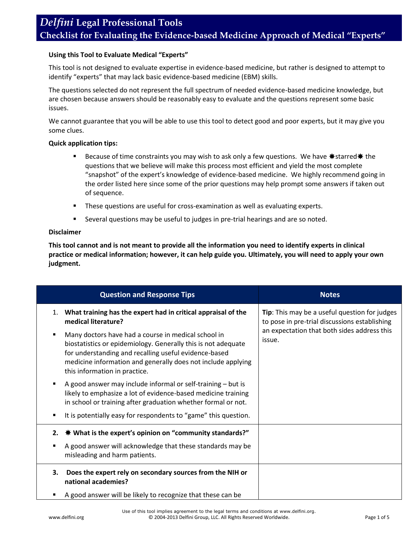#### **Using this Tool to Evaluate Medical "Experts"**

This tool is not designed to evaluate expertise in evidence-based medicine, but rather is designed to attempt to identify "experts" that may lack basic evidence-based medicine (EBM) skills.

The questions selected do not represent the full spectrum of needed evidence-based medicine knowledge, but are chosen because answers should be reasonably easy to evaluate and the questions represent some basic issues.

We cannot guarantee that you will be able to use this tool to detect good and poor experts, but it may give you some clues.

#### **Quick application tips:**

- Because of time constraints you may wish to ask only a few questions. We have  $\ast$  starred  $\ast$  the questions that we believe will make this process most efficient and yield the most complete "snapshot" of the expert's knowledge of evidence-based medicine. We highly recommend going in the order listed here since some of the prior questions may help prompt some answers if taken out of sequence.
- **These questions are useful for cross-examination as well as evaluating experts.**
- Several questions may be useful to judges in pre-trial hearings and are so noted.

#### **Disclaimer**

**This tool cannot and is not meant to provide all the information you need to identify experts in clinical practice or medical information; however, it can help guide you. Ultimately, you will need to apply your own judgment.** 

| <b>Question and Response Tips</b>                                                                                                                                                                                                                                              | <b>Notes</b>                                                                                                                                            |
|--------------------------------------------------------------------------------------------------------------------------------------------------------------------------------------------------------------------------------------------------------------------------------|---------------------------------------------------------------------------------------------------------------------------------------------------------|
| What training has the expert had in critical appraisal of the<br>1.<br>medical literature?                                                                                                                                                                                     | Tip: This may be a useful question for judges<br>to pose in pre-trial discussions establishing<br>an expectation that both sides address this<br>issue. |
| Many doctors have had a course in medical school in<br>biostatistics or epidemiology. Generally this is not adequate<br>for understanding and recalling useful evidence-based<br>medicine information and generally does not include applying<br>this information in practice. |                                                                                                                                                         |
| A good answer may include informal or self-training – but is<br>likely to emphasize a lot of evidence-based medicine training<br>in school or training after graduation whether formal or not.                                                                                 |                                                                                                                                                         |
| It is potentially easy for respondents to "game" this question.                                                                                                                                                                                                                |                                                                                                                                                         |
| <b><math>*</math> What is the expert's opinion on "community standards?"</b><br>2.                                                                                                                                                                                             |                                                                                                                                                         |
| A good answer will acknowledge that these standards may be<br>misleading and harm patients.                                                                                                                                                                                    |                                                                                                                                                         |
| Does the expert rely on secondary sources from the NIH or<br>3.<br>national academies?                                                                                                                                                                                         |                                                                                                                                                         |
| A good answer will be likely to recognize that these can be                                                                                                                                                                                                                    |                                                                                                                                                         |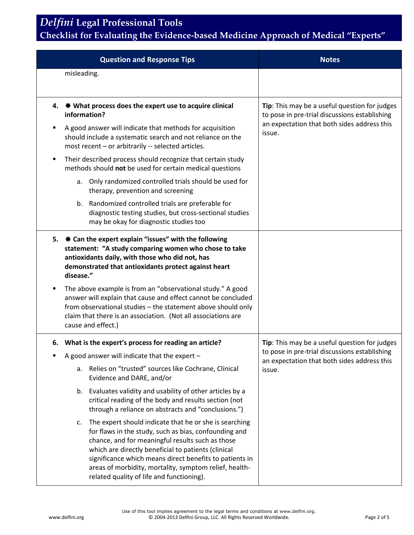# *Delfini* **Legal Professional Tools**

### **Checklist for Evaluating the Evidence-based Medicine Approach of Medical "Experts"**

|   | <b>Question and Response Tips</b>                                                                                                                                                                                                                                                                                                                                                                  | <b>Notes</b>                                                                                                                                            |
|---|----------------------------------------------------------------------------------------------------------------------------------------------------------------------------------------------------------------------------------------------------------------------------------------------------------------------------------------------------------------------------------------------------|---------------------------------------------------------------------------------------------------------------------------------------------------------|
|   | misleading.                                                                                                                                                                                                                                                                                                                                                                                        |                                                                                                                                                         |
|   |                                                                                                                                                                                                                                                                                                                                                                                                    |                                                                                                                                                         |
|   | 4. $\ast$ What process does the expert use to acquire clinical<br>information?                                                                                                                                                                                                                                                                                                                     | Tip: This may be a useful question for judges<br>to pose in pre-trial discussions establishing<br>an expectation that both sides address this<br>issue. |
| п | A good answer will indicate that methods for acquisition<br>should include a systematic search and not reliance on the<br>most recent - or arbitrarily -- selected articles.                                                                                                                                                                                                                       |                                                                                                                                                         |
| ٠ | Their described process should recognize that certain study<br>methods should not be used for certain medical questions                                                                                                                                                                                                                                                                            |                                                                                                                                                         |
|   | Only randomized controlled trials should be used for<br>a.<br>therapy, prevention and screening                                                                                                                                                                                                                                                                                                    |                                                                                                                                                         |
|   | b. Randomized controlled trials are preferable for<br>diagnostic testing studies, but cross-sectional studies<br>may be okay for diagnostic studies too                                                                                                                                                                                                                                            |                                                                                                                                                         |
|   | 5. $*$ Can the expert explain "issues" with the following<br>statement: "A study comparing women who chose to take<br>antioxidants daily, with those who did not, has<br>demonstrated that antioxidants protect against heart<br>disease."                                                                                                                                                         |                                                                                                                                                         |
| ٠ | The above example is from an "observational study." A good<br>answer will explain that cause and effect cannot be concluded<br>from observational studies - the statement above should only<br>claim that there is an association. (Not all associations are<br>cause and effect.)                                                                                                                 |                                                                                                                                                         |
|   | 6. What is the expert's process for reading an article?                                                                                                                                                                                                                                                                                                                                            | Tip: This may be a useful question for judges                                                                                                           |
|   | A good answer will indicate that the expert -                                                                                                                                                                                                                                                                                                                                                      | to pose in pre-trial discussions establishing<br>an expectation that both sides address this                                                            |
|   | Relies on "trusted" sources like Cochrane, Clinical<br>а.<br>Evidence and DARE, and/or                                                                                                                                                                                                                                                                                                             | issue.                                                                                                                                                  |
|   | b. Evaluates validity and usability of other articles by a<br>critical reading of the body and results section (not<br>through a reliance on abstracts and "conclusions.")                                                                                                                                                                                                                         |                                                                                                                                                         |
|   | The expert should indicate that he or she is searching<br>c.<br>for flaws in the study, such as bias, confounding and<br>chance, and for meaningful results such as those<br>which are directly beneficial to patients (clinical<br>significance which means direct benefits to patients in<br>areas of morbidity, mortality, symptom relief, health-<br>related quality of life and functioning). |                                                                                                                                                         |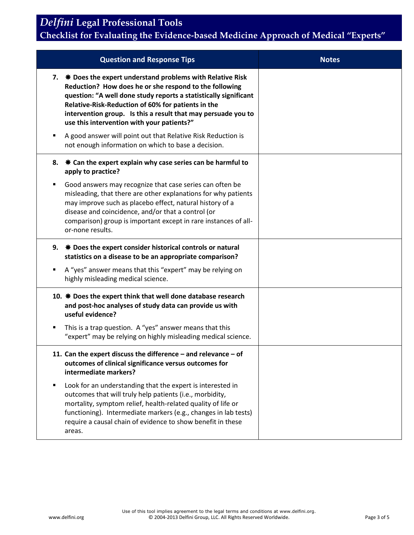*Delfini* **Legal Professional Tools**

### **Checklist for Evaluating the Evidence-based Medicine Approach of Medical "Experts"**

| <b>Question and Response Tips</b>                                                                                                                                                                                                                                                                                                                                | <b>Notes</b> |
|------------------------------------------------------------------------------------------------------------------------------------------------------------------------------------------------------------------------------------------------------------------------------------------------------------------------------------------------------------------|--------------|
| 7. $*$ Does the expert understand problems with Relative Risk<br>Reduction? How does he or she respond to the following<br>question: "A well done study reports a statistically significant<br>Relative-Risk-Reduction of 60% for patients in the<br>intervention group. Is this a result that may persuade you to<br>use this intervention with your patients?" |              |
| A good answer will point out that Relative Risk Reduction is<br>٠<br>not enough information on which to base a decision.                                                                                                                                                                                                                                         |              |
| $★$ Can the expert explain why case series can be harmful to<br>8.<br>apply to practice?                                                                                                                                                                                                                                                                         |              |
| Good answers may recognize that case series can often be<br>٠<br>misleading, that there are other explanations for why patients<br>may improve such as placebo effect, natural history of a<br>disease and coincidence, and/or that a control (or<br>comparison) group is important except in rare instances of all-<br>or-none results.                         |              |
| $*$ Does the expert consider historical controls or natural<br>9.<br>statistics on a disease to be an appropriate comparison?                                                                                                                                                                                                                                    |              |
| A "yes" answer means that this "expert" may be relying on<br>٠<br>highly misleading medical science.                                                                                                                                                                                                                                                             |              |
| 10. * Does the expert think that well done database research<br>and post-hoc analyses of study data can provide us with<br>useful evidence?                                                                                                                                                                                                                      |              |
| This is a trap question. A "yes" answer means that this<br>٠<br>"expert" may be relying on highly misleading medical science.                                                                                                                                                                                                                                    |              |
| 11. Can the expert discuss the difference - and relevance - of<br>outcomes of clinical significance versus outcomes for<br>intermediate markers?                                                                                                                                                                                                                 |              |
| Look for an understanding that the expert is interested in<br>$\blacksquare$<br>outcomes that will truly help patients (i.e., morbidity,<br>mortality, symptom relief, health-related quality of life or<br>functioning). Intermediate markers (e.g., changes in lab tests)<br>require a causal chain of evidence to show benefit in these<br>areas.             |              |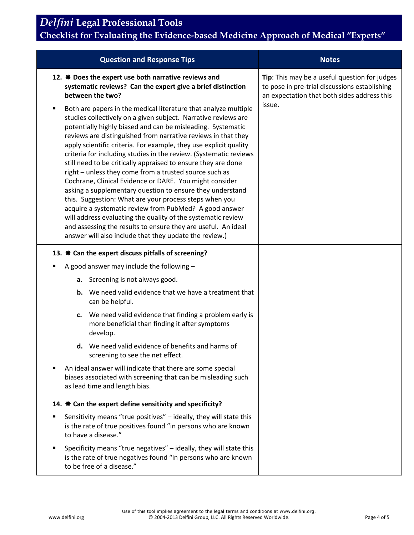### *Delfini* **Legal Professional Tools Checklist for Evaluating the Evidence-based Medicine Approach of Medical "Experts"**

| <b>Question and Response Tips</b>                                                                                                                                                                                                                                                                                                                                                                                                                                                                                                                                                                                                                                                                                                                                                                                                                                                                                                                                                  | <b>Notes</b>                                                                                                                                  |
|------------------------------------------------------------------------------------------------------------------------------------------------------------------------------------------------------------------------------------------------------------------------------------------------------------------------------------------------------------------------------------------------------------------------------------------------------------------------------------------------------------------------------------------------------------------------------------------------------------------------------------------------------------------------------------------------------------------------------------------------------------------------------------------------------------------------------------------------------------------------------------------------------------------------------------------------------------------------------------|-----------------------------------------------------------------------------------------------------------------------------------------------|
| 12. $*$ Does the expert use both narrative reviews and<br>systematic reviews? Can the expert give a brief distinction<br>between the two?                                                                                                                                                                                                                                                                                                                                                                                                                                                                                                                                                                                                                                                                                                                                                                                                                                          | Tip: This may be a useful question for judges<br>to pose in pre-trial discussions establishing<br>an expectation that both sides address this |
| Both are papers in the medical literature that analyze multiple<br>٠<br>studies collectively on a given subject. Narrative reviews are<br>potentially highly biased and can be misleading. Systematic<br>reviews are distinguished from narrative reviews in that they<br>apply scientific criteria. For example, they use explicit quality<br>criteria for including studies in the review. (Systematic reviews<br>still need to be critically appraised to ensure they are done<br>right - unless they come from a trusted source such as<br>Cochrane, Clinical Evidence or DARE. You might consider<br>asking a supplementary question to ensure they understand<br>this. Suggestion: What are your process steps when you<br>acquire a systematic review from PubMed? A good answer<br>will address evaluating the quality of the systematic review<br>and assessing the results to ensure they are useful. An ideal<br>answer will also include that they update the review.) | issue.                                                                                                                                        |
| 13. $*$ Can the expert discuss pitfalls of screening?                                                                                                                                                                                                                                                                                                                                                                                                                                                                                                                                                                                                                                                                                                                                                                                                                                                                                                                              |                                                                                                                                               |
| A good answer may include the following $-$                                                                                                                                                                                                                                                                                                                                                                                                                                                                                                                                                                                                                                                                                                                                                                                                                                                                                                                                        |                                                                                                                                               |
| a. Screening is not always good.                                                                                                                                                                                                                                                                                                                                                                                                                                                                                                                                                                                                                                                                                                                                                                                                                                                                                                                                                   |                                                                                                                                               |
| We need valid evidence that we have a treatment that<br>b.<br>can be helpful.                                                                                                                                                                                                                                                                                                                                                                                                                                                                                                                                                                                                                                                                                                                                                                                                                                                                                                      |                                                                                                                                               |
| c. We need valid evidence that finding a problem early is<br>more beneficial than finding it after symptoms<br>develop.                                                                                                                                                                                                                                                                                                                                                                                                                                                                                                                                                                                                                                                                                                                                                                                                                                                            |                                                                                                                                               |
| d. We need valid evidence of benefits and harms of<br>screening to see the net effect.                                                                                                                                                                                                                                                                                                                                                                                                                                                                                                                                                                                                                                                                                                                                                                                                                                                                                             |                                                                                                                                               |
| An ideal answer will indicate that there are some special<br>biases associated with screening that can be misleading such<br>as lead time and length bias.                                                                                                                                                                                                                                                                                                                                                                                                                                                                                                                                                                                                                                                                                                                                                                                                                         |                                                                                                                                               |
| 14. $*$ Can the expert define sensitivity and specificity?                                                                                                                                                                                                                                                                                                                                                                                                                                                                                                                                                                                                                                                                                                                                                                                                                                                                                                                         |                                                                                                                                               |
| Sensitivity means "true positives" - ideally, they will state this<br>is the rate of true positives found "in persons who are known<br>to have a disease."                                                                                                                                                                                                                                                                                                                                                                                                                                                                                                                                                                                                                                                                                                                                                                                                                         |                                                                                                                                               |
| Specificity means "true negatives" - ideally, they will state this<br>is the rate of true negatives found "in persons who are known<br>to be free of a disease."                                                                                                                                                                                                                                                                                                                                                                                                                                                                                                                                                                                                                                                                                                                                                                                                                   |                                                                                                                                               |